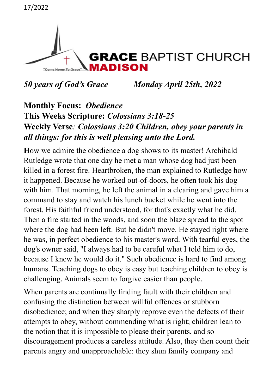```
17/2022
```


*50 years of God's Grace**Monday April 25th, 2022*

### **Monthly Focus:** *Obedience* **This Weeks Scripture:** *Colossians 3:18-25* **Weekly Verse***: Colossians 3:20 Children, obey your parents in all things: for this is well pleasing unto the Lord.*

**H**ow we admire the obedience a dog shows to its master! Archibald Rutledge wrote that one day he met a man whose dog had just been killed in a forest fire. Heartbroken, the man explained to Rutledge how it happened. Because he worked out-of-doors, he often took his dog with him. That morning, he left the animal in a clearing and gave him a command to stay and watch his lunch bucket while he went into the forest. His faithful friend understood, for that's exactly what he did. Then a fire started in the woods, and soon the blaze spread to the spot where the dog had been left. But he didn't move. He stayed right where he was, in perfect obedience to his master's word. With tearful eyes, the dog's owner said, "I always had to be careful what I told him to do, because I knew he would do it." Such obedience is hard to find among humans. Teaching dogs to obey is easy but teaching children to obey is challenging. Animals seem to forgive easier than people.

When parents are continually finding fault with their children and confusing the distinction between willful offences or stubborn disobedience; and when they sharply reprove even the defects of their attempts to obey, without commending what is right; children lean to the notion that it is impossible to please their parents, and so discouragement produces a careless attitude. Also, they then count their parents angry and unapproachable: they shun family company and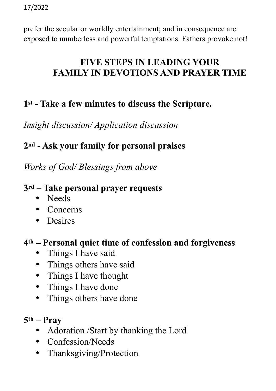prefer the secular or worldly entertainment; and in consequence are exposed to numberless and powerful temptations. Fathers provoke not!

## **FIVE STEPS IN LEADING YOUR FAMILY IN DEVOTIONS AND PRAYER TIME**

# **1st - Take a few minutes to discuss the Scripture.**

*Insight discussion/ Application discussion*

## **2nd - Ask your family for personal praises**

*Works of God/ Blessings from above*

#### **3rd – Take personal prayer requests**

- Needs
- Concerns
- Desires

#### **4th – Personal quiet time of confession and forgiveness**

- Things I have said
- Things others have said
- Things I have thought
- Things I have done
- Things others have done
- **5th Pray** 
	- Adoration /Start by thanking the Lord
	- Confession/Needs
	- Thanksgiving/Protection